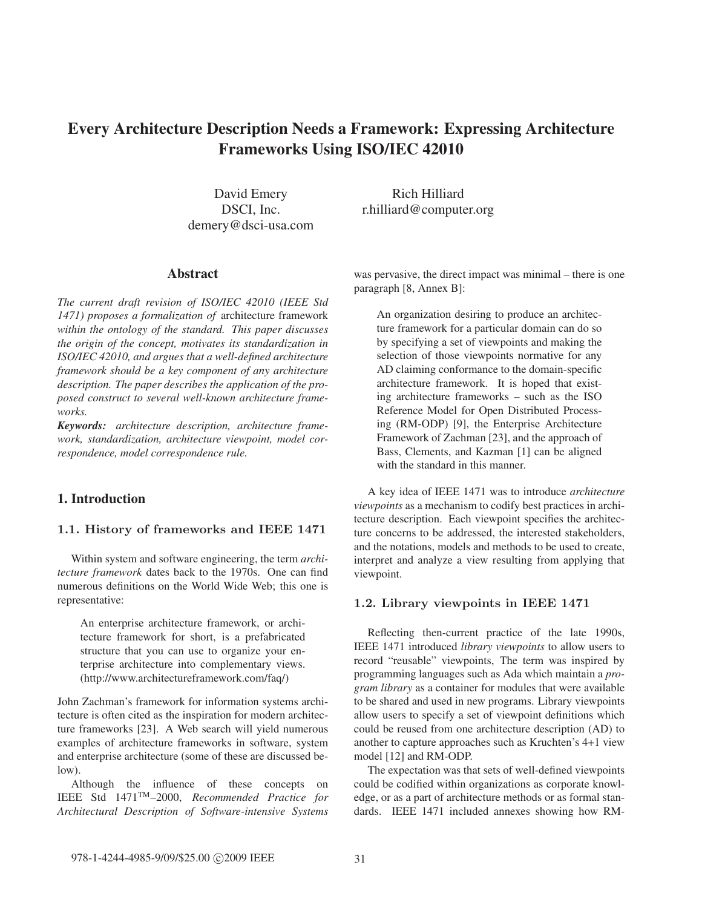# Every Architecture Description Needs a Framework: Expressing Architecture Frameworks Using ISO/IEC 42010

David Emery DSCI, Inc. demery@dsci-usa.com

#### Abstract

*The current draft revision of ISO/IEC 42010 (IEEE Std 1471) proposes a formalization of* architecture framework *within the ontology of the standard. This paper discusses the origin of the concept, motivates its standardization in ISO/IEC 42010, and argues that a well-defined architecture framework should be a key component of any architecture description. The paper describes the application of the proposed construct to several well-known architecture frameworks.*

*Keywords: architecture description, architecture framework, standardization, architecture viewpoint, model correspondence, model correspondence rule.*

## 1. Introduction

#### **1.1. History of frameworks and IEEE 1471**

Within system and software engineering, the term *architecture framework* dates back to the 1970s. One can find numerous definitions on the World Wide Web; this one is representative:

An enterprise architecture framework, or architecture framework for short, is a prefabricated structure that you can use to organize your enterprise architecture into complementary views. (http://www.architectureframework.com/faq/)

John Zachman's framework for information systems architecture is often cited as the inspiration for modern architecture frameworks [23]. A Web search will yield numerous examples of architecture frameworks in software, system and enterprise architecture (some of these are discussed below).

Although the influence of these concepts on IEEE Std 1471TM–2000, *Recommended Practice for Architectural Description of Software-intensive Systems*

Rich Hilliard r.hilliard@computer.org

was pervasive, the direct impact was minimal – there is one paragraph [8, Annex B]:

An organization desiring to produce an architecture framework for a particular domain can do so by specifying a set of viewpoints and making the selection of those viewpoints normative for any AD claiming conformance to the domain-specific architecture framework. It is hoped that existing architecture frameworks – such as the ISO Reference Model for Open Distributed Processing (RM-ODP) [9], the Enterprise Architecture Framework of Zachman [23], and the approach of Bass, Clements, and Kazman [1] can be aligned with the standard in this manner.

A key idea of IEEE 1471 was to introduce *architecture viewpoints* as a mechanism to codify best practices in architecture description. Each viewpoint specifies the architecture concerns to be addressed, the interested stakeholders, and the notations, models and methods to be used to create, interpret and analyze a view resulting from applying that viewpoint.

#### **1.2. Library viewpoints in IEEE 1471**

Reflecting then-current practice of the late 1990s, IEEE 1471 introduced *library viewpoints* to allow users to record "reusable" viewpoints, The term was inspired by programming languages such as Ada which maintain a *program library* as a container for modules that were available to be shared and used in new programs. Library viewpoints allow users to specify a set of viewpoint definitions which could be reused from one architecture description (AD) to another to capture approaches such as Kruchten's 4+1 view model [12] and RM-ODP.

The expectation was that sets of well-defined viewpoints could be codified within organizations as corporate knowledge, or as a part of architecture methods or as formal standards. IEEE 1471 included annexes showing how RM-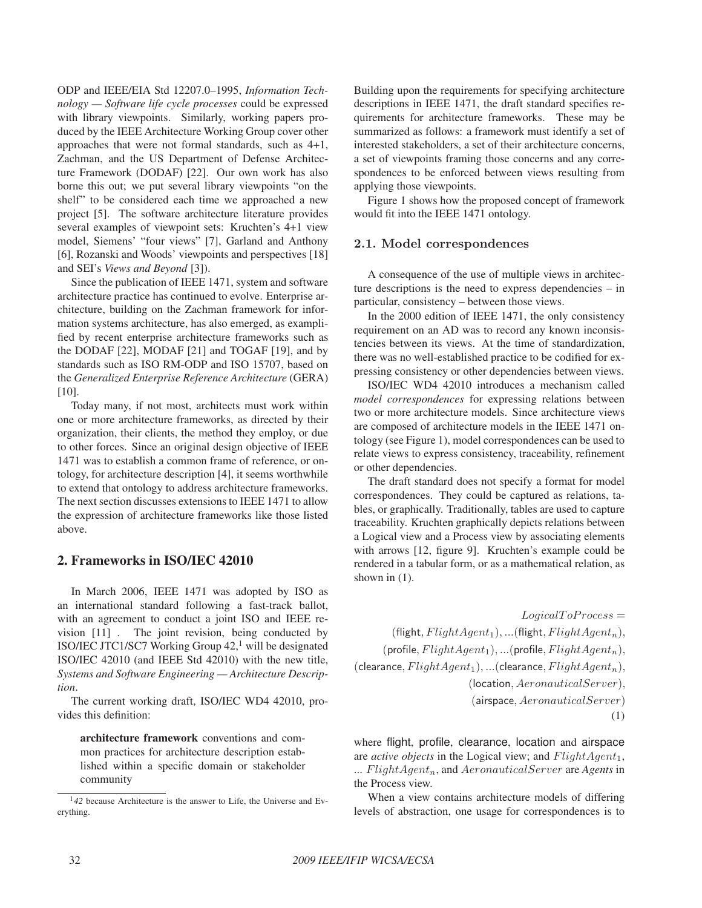ODP and IEEE/EIA Std 12207.0–1995, *Information Technology — Software life cycle processes* could be expressed with library viewpoints. Similarly, working papers produced by the IEEE Architecture Working Group cover other approaches that were not formal standards, such as 4+1, Zachman, and the US Department of Defense Architecture Framework (DODAF) [22]. Our own work has also borne this out; we put several library viewpoints "on the shelf" to be considered each time we approached a new project [5]. The software architecture literature provides several examples of viewpoint sets: Kruchten's 4+1 view model, Siemens' "four views" [7], Garland and Anthony [6], Rozanski and Woods' viewpoints and perspectives [18] and SEI's *Views and Beyond* [3]).

Since the publication of IEEE 1471, system and software architecture practice has continued to evolve. Enterprise architecture, building on the Zachman framework for information systems architecture, has also emerged, as examplified by recent enterprise architecture frameworks such as the DODAF [22], MODAF [21] and TOGAF [19], and by standards such as ISO RM-ODP and ISO 15707, based on the *Generalized Enterprise Reference Architecture* (GERA) [10].

Today many, if not most, architects must work within one or more architecture frameworks, as directed by their organization, their clients, the method they employ, or due to other forces. Since an original design objective of IEEE 1471 was to establish a common frame of reference, or ontology, for architecture description [4], it seems worthwhile to extend that ontology to address architecture frameworks. The next section discusses extensions to IEEE 1471 to allow the expression of architecture frameworks like those listed above.

# 2. Frameworks in ISO/IEC 42010

In March 2006, IEEE 1471 was adopted by ISO as an international standard following a fast-track ballot, with an agreement to conduct a joint ISO and IEEE revision [11] . The joint revision, being conducted by ISO/IEC JTC1/SC7 Working Group  $42<sup>1</sup>$  will be designated ISO/IEC 42010 (and IEEE Std 42010) with the new title, *Systems and Software Engineering — Architecture Description*.

The current working draft, ISO/IEC WD4 42010, provides this definition:

architecture framework conventions and common practices for architecture description established within a specific domain or stakeholder community

Building upon the requirements for specifying architecture descriptions in IEEE 1471, the draft standard specifies requirements for architecture frameworks. These may be summarized as follows: a framework must identify a set of interested stakeholders, a set of their architecture concerns, a set of viewpoints framing those concerns and any correspondences to be enforced between views resulting from applying those viewpoints.

Figure 1 shows how the proposed concept of framework would fit into the IEEE 1471 ontology.

#### **2.1. Model correspondences**

A consequence of the use of multiple views in architecture descriptions is the need to express dependencies – in particular, consistency – between those views.

In the 2000 edition of IEEE 1471, the only consistency requirement on an AD was to record any known inconsistencies between its views. At the time of standardization, there was no well-established practice to be codified for expressing consistency or other dependencies between views.

ISO/IEC WD4 42010 introduces a mechanism called *model correspondences* for expressing relations between two or more architecture models. Since architecture views are composed of architecture models in the IEEE 1471 ontology (see Figure 1), model correspondences can be used to relate views to express consistency, traceability, refinement or other dependencies.

The draft standard does not specify a format for model correspondences. They could be captured as relations, tables, or graphically. Traditionally, tables are used to capture traceability. Kruchten graphically depicts relations between a Logical view and a Process view by associating elements with arrows [12, figure 9]. Kruchten's example could be rendered in a tabular form, or as a mathematical relation, as shown in (1).

 $Logical To Process =$  $(Hight, FlightAgent_1),$  ...(flight,  $FlightAgent_n$ ),  $(p$ rofile,  $FlightAgent_1),$  ...(profile,  $FlightAgent_n$ ), (clearance,  $FlightAgent_1$ ), ...(clearance,  $FlightAgent_n$ ), (location, AeronauticalServer), (airspace, AeronauticalServer) (1)

where flight, profile, clearance, location and airspace are *active objects* in the Logical view; and  $FlightAgent_1$ , ... FlightAgent<sub>n</sub>, and AeronauticalServer are Agents in the Process view.

When a view contains architecture models of differing levels of abstraction, one usage for correspondences is to

<sup>&</sup>lt;sup>1</sup>42 because Architecture is the answer to Life, the Universe and Everything.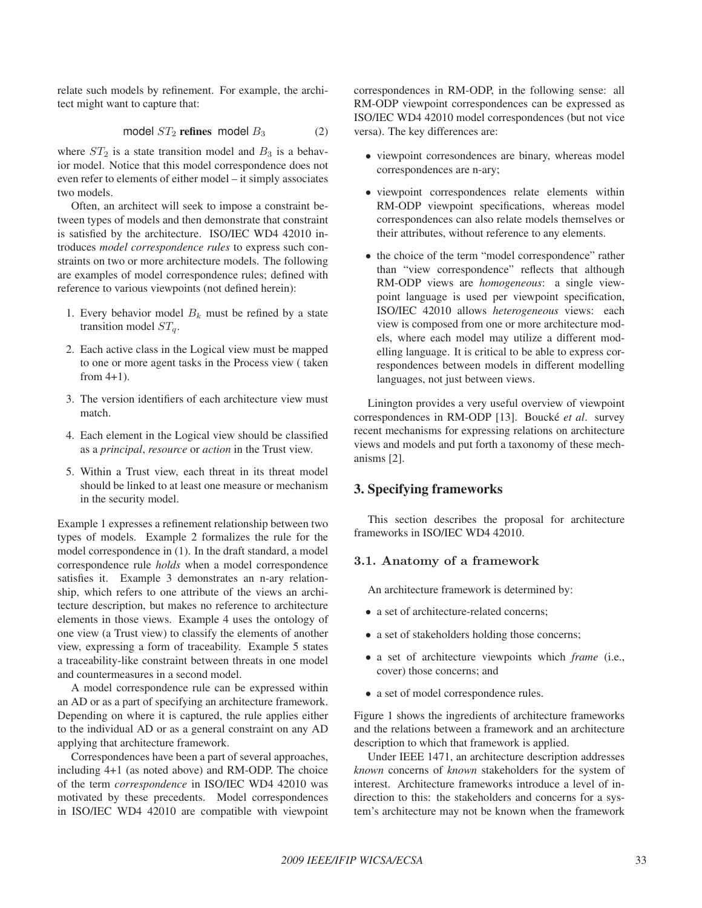relate such models by refinement. For example, the architect might want to capture that:

model  $ST_2$  refines model  $B_3$  (2)

where  $ST_2$  is a state transition model and  $B_3$  is a behavior model. Notice that this model correspondence does not even refer to elements of either model – it simply associates two models.

Often, an architect will seek to impose a constraint between types of models and then demonstrate that constraint is satisfied by the architecture. ISO/IEC WD4 42010 introduces *model correspondence rules* to express such constraints on two or more architecture models. The following are examples of model correspondence rules; defined with reference to various viewpoints (not defined herein):

- 1. Every behavior model  $B_k$  must be refined by a state transition model  $ST_a$ .
- 2. Each active class in the Logical view must be mapped to one or more agent tasks in the Process view ( taken from  $4+1$ ).
- 3. The version identifiers of each architecture view must match.
- 4. Each element in the Logical view should be classified as a *principal*, *resource* or *action* in the Trust view.
- 5. Within a Trust view, each threat in its threat model should be linked to at least one measure or mechanism in the security model.

Example 1 expresses a refinement relationship between two types of models. Example 2 formalizes the rule for the model correspondence in (1). In the draft standard, a model correspondence rule *holds* when a model correspondence satisfies it. Example 3 demonstrates an n-ary relationship, which refers to one attribute of the views an architecture description, but makes no reference to architecture elements in those views. Example 4 uses the ontology of one view (a Trust view) to classify the elements of another view, expressing a form of traceability. Example 5 states a traceability-like constraint between threats in one model and countermeasures in a second model.

A model correspondence rule can be expressed within an AD or as a part of specifying an architecture framework. Depending on where it is captured, the rule applies either to the individual AD or as a general constraint on any AD applying that architecture framework.

Correspondences have been a part of several approaches, including 4+1 (as noted above) and RM-ODP. The choice of the term *correspondence* in ISO/IEC WD4 42010 was motivated by these precedents. Model correspondences in ISO/IEC WD4 42010 are compatible with viewpoint correspondences in RM-ODP, in the following sense: all RM-ODP viewpoint correspondences can be expressed as ISO/IEC WD4 42010 model correspondences (but not vice versa). The key differences are:

- viewpoint corresondences are binary, whereas model correspondences are n-ary;
- viewpoint correspondences relate elements within RM-ODP viewpoint specifications, whereas model correspondences can also relate models themselves or their attributes, without reference to any elements.
- the choice of the term "model correspondence" rather than "view correspondence" reflects that although RM-ODP views are *homogeneous*: a single viewpoint language is used per viewpoint specification, ISO/IEC 42010 allows *heterogeneous* views: each view is composed from one or more architecture models, where each model may utilize a different modelling language. It is critical to be able to express correspondences between models in different modelling languages, not just between views.

Linington provides a very useful overview of viewpoint correspondences in RM-ODP [13]. Boucké *et al.* survey recent mechanisms for expressing relations on architecture views and models and put forth a taxonomy of these mechanisms [2].

## 3. Specifying frameworks

This section describes the proposal for architecture frameworks in ISO/IEC WD4 42010.

#### **3.1. Anatomy of a framework**

An architecture framework is determined by:

- a set of architecture-related concerns;
- a set of stakeholders holding those concerns;
- a set of architecture viewpoints which *frame* (i.e., cover) those concerns; and
- a set of model correspondence rules.

Figure 1 shows the ingredients of architecture frameworks and the relations between a framework and an architecture description to which that framework is applied.

Under IEEE 1471, an architecture description addresses *known* concerns of *known* stakeholders for the system of interest. Architecture frameworks introduce a level of indirection to this: the stakeholders and concerns for a system's architecture may not be known when the framework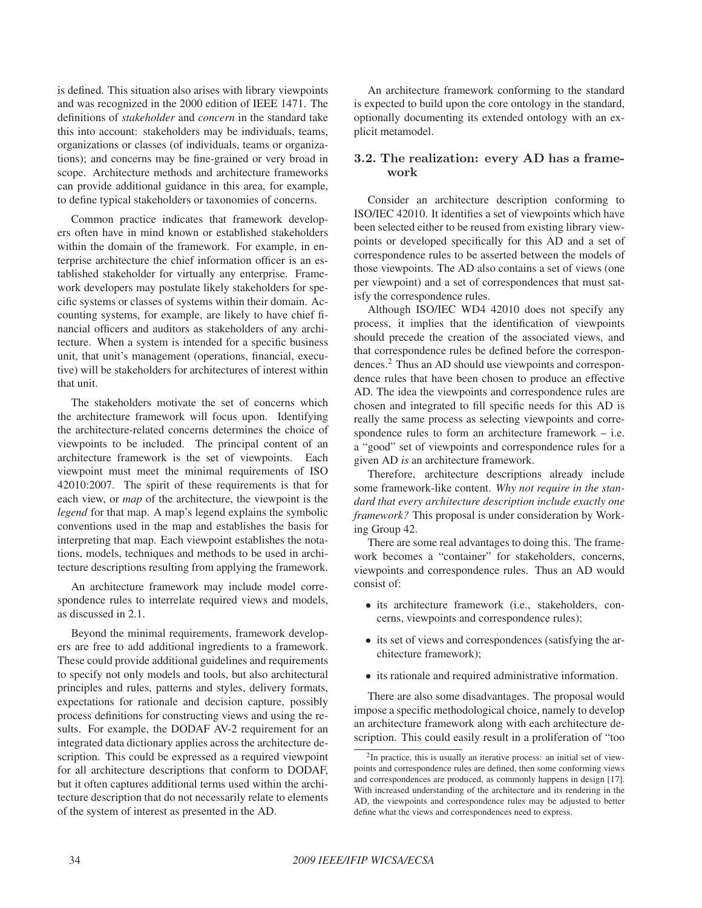is defined. This situation also arises with library viewpoints and was recognized in the 2000 edition of IEEE 1471. The definitions of *stakeholder* and *concern* in the standard take this into account: stakeholders may be individuals, teams, organizations or classes (of individuals, teams or organizations); and concerns may be fine-grained or very broad in scope. Architecture methods and architecture frameworks can provide additional guidance in this area, for example, to define typical stakeholders or taxonomies of concerns.

Common practice indicates that framework developers often have in mind known or established stakeholders within the domain of the framework. For example, in enterprise architecture the chief information officer is an established stakeholder for virtually any enterprise. Framework developers may postulate likely stakeholders for specific systems or classes of systems within their domain. Accounting systems, for example, are likely to have chief financial officers and auditors as stakeholders of any architecture. When a system is intended for a specific business unit, that unit's management (operations, financial, executive) will be stakeholders for architectures of interest within that unit.

The stakeholders motivate the set of concerns which the architecture framework will focus upon. Identifying the architecture-related concerns determines the choice of viewpoints to be included. The principal content of an architecture framework is the set of viewpoints. Each viewpoint must meet the minimal requirements of ISO 42010:2007. The spirit of these requirements is that for each view, or *map* of the architecture, the viewpoint is the *legend* for that map. A map's legend explains the symbolic conventions used in the map and establishes the basis for interpreting that map. Each viewpoint establishes the notations, models, techniques and methods to be used in architecture descriptions resulting from applying the framework.

An architecture framework may include model correspondence rules to interrelate required views and models, as discussed in 2.1.

Beyond the minimal requirements, framework developers are free to add additional ingredients to a framework. These could provide additional guidelines and requirements to specify not only models and tools, but also architectural principles and rules, patterns and styles, delivery formats, expectations for rationale and decision capture, possibly process definitions for constructing views and using the results. For example, the DODAF AV-2 requirement for an integrated data dictionary applies across the architecture description. This could be expressed as a required viewpoint for all architecture descriptions that conform to DODAF, but it often captures additional terms used within the architecture description that do not necessarily relate to elements of the system of interest as presented in the AD.

An architecture framework conforming to the standard is expected to build upon the core ontology in the standard, optionally documenting its extended ontology with an explicit metamodel.

### **3.2. The realization: every AD has a framework**

Consider an architecture description conforming to ISO/IEC 42010. It identifies a set of viewpoints which have been selected either to be reused from existing library viewpoints or developed specifically for this AD and a set of correspondence rules to be asserted between the models of those viewpoints. The AD also contains a set of views (one per viewpoint) and a set of correspondences that must satisfy the correspondence rules.

Although ISO/IEC WD4 42010 does not specify any process, it implies that the identification of viewpoints should precede the creation of the associated views, and that correspondence rules be defined before the correspondences.2 Thus an AD should use viewpoints and correspondence rules that have been chosen to produce an effective AD. The idea the viewpoints and correspondence rules are chosen and integrated to fill specific needs for this AD is really the same process as selecting viewpoints and correspondence rules to form an architecture framework – i.e. a "good" set of viewpoints and correspondence rules for a given AD *is* an architecture framework.

Therefore, architecture descriptions already include some framework-like content. *Why not require in the standard that every architecture description include exactly one framework?* This proposal is under consideration by Working Group 42.

There are some real advantages to doing this. The framework becomes a "container" for stakeholders, concerns, viewpoints and correspondence rules. Thus an AD would consist of:

- its architecture framework (i.e., stakeholders, concerns, viewpoints and correspondence rules);
- its set of views and correspondences (satisfying the architecture framework);
- its rationale and required administrative information.

There are also some disadvantages. The proposal would impose a specific methodological choice, namely to develop an architecture framework along with each architecture description. This could easily result in a proliferation of "too

<sup>&</sup>lt;sup>2</sup>In practice, this is usually an iterative process: an initial set of viewpoints and correspondence rules are defined, then some conforming views and correspondences are produced, as commonly happens in design [17]. With increased understanding of the architecture and its rendering in the AD, the viewpoints and correspondence rules may be adjusted to better define what the views and correspondences need to express.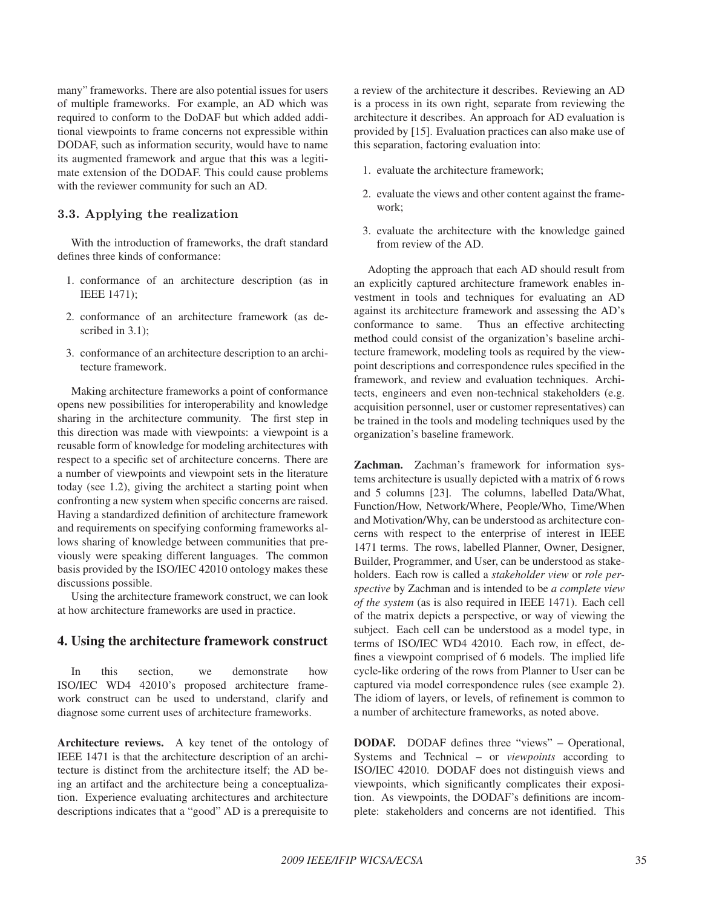many" frameworks. There are also potential issues for users of multiple frameworks. For example, an AD which was required to conform to the DoDAF but which added additional viewpoints to frame concerns not expressible within DODAF, such as information security, would have to name its augmented framework and argue that this was a legitimate extension of the DODAF. This could cause problems with the reviewer community for such an AD.

## **3.3. Applying the realization**

With the introduction of frameworks, the draft standard defines three kinds of conformance:

- 1. conformance of an architecture description (as in IEEE 1471);
- 2. conformance of an architecture framework (as described in  $3.1$ :
- 3. conformance of an architecture description to an architecture framework.

Making architecture frameworks a point of conformance opens new possibilities for interoperability and knowledge sharing in the architecture community. The first step in this direction was made with viewpoints: a viewpoint is a reusable form of knowledge for modeling architectures with respect to a specific set of architecture concerns. There are a number of viewpoints and viewpoint sets in the literature today (see 1.2), giving the architect a starting point when confronting a new system when specific concerns are raised. Having a standardized definition of architecture framework and requirements on specifying conforming frameworks allows sharing of knowledge between communities that previously were speaking different languages. The common basis provided by the ISO/IEC 42010 ontology makes these discussions possible.

Using the architecture framework construct, we can look at how architecture frameworks are used in practice.

#### 4. Using the architecture framework construct

In this section, we demonstrate how ISO/IEC WD4 42010's proposed architecture framework construct can be used to understand, clarify and diagnose some current uses of architecture frameworks.

Architecture reviews. A key tenet of the ontology of IEEE 1471 is that the architecture description of an architecture is distinct from the architecture itself; the AD being an artifact and the architecture being a conceptualization. Experience evaluating architectures and architecture descriptions indicates that a "good" AD is a prerequisite to

a review of the architecture it describes. Reviewing an AD is a process in its own right, separate from reviewing the architecture it describes. An approach for AD evaluation is provided by [15]. Evaluation practices can also make use of this separation, factoring evaluation into:

- 1. evaluate the architecture framework;
- 2. evaluate the views and other content against the framework;
- 3. evaluate the architecture with the knowledge gained from review of the AD.

Adopting the approach that each AD should result from an explicitly captured architecture framework enables investment in tools and techniques for evaluating an AD against its architecture framework and assessing the AD's conformance to same. Thus an effective architecting method could consist of the organization's baseline architecture framework, modeling tools as required by the viewpoint descriptions and correspondence rules specified in the framework, and review and evaluation techniques. Architects, engineers and even non-technical stakeholders (e.g. acquisition personnel, user or customer representatives) can be trained in the tools and modeling techniques used by the organization's baseline framework.

Zachman. Zachman's framework for information systems architecture is usually depicted with a matrix of 6 rows and 5 columns [23]. The columns, labelled Data/What, Function/How, Network/Where, People/Who, Time/When and Motivation/Why, can be understood as architecture concerns with respect to the enterprise of interest in IEEE 1471 terms. The rows, labelled Planner, Owner, Designer, Builder, Programmer, and User, can be understood as stakeholders. Each row is called a *stakeholder view* or *role perspective* by Zachman and is intended to be *a complete view of the system* (as is also required in IEEE 1471). Each cell of the matrix depicts a perspective, or way of viewing the subject. Each cell can be understood as a model type, in terms of ISO/IEC WD4 42010. Each row, in effect, defines a viewpoint comprised of 6 models. The implied life cycle-like ordering of the rows from Planner to User can be captured via model correspondence rules (see example 2). The idiom of layers, or levels, of refinement is common to a number of architecture frameworks, as noted above.

DODAF. DODAF defines three "views" – Operational, Systems and Technical – or *viewpoints* according to ISO/IEC 42010. DODAF does not distinguish views and viewpoints, which significantly complicates their exposition. As viewpoints, the DODAF's definitions are incomplete: stakeholders and concerns are not identified. This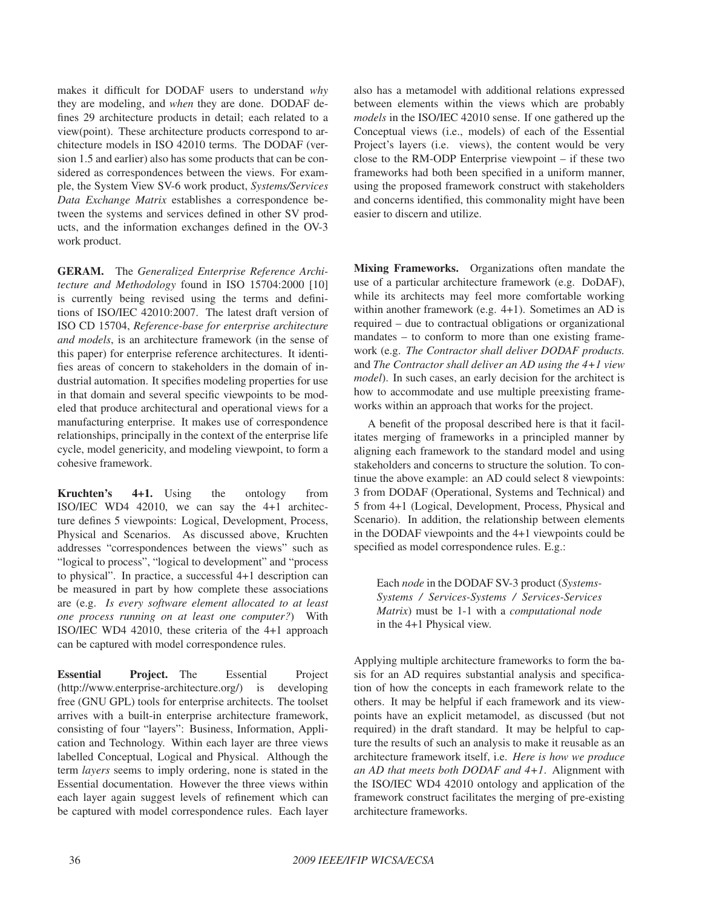makes it difficult for DODAF users to understand *why* they are modeling, and *when* they are done. DODAF defines 29 architecture products in detail; each related to a view(point). These architecture products correspond to architecture models in ISO 42010 terms. The DODAF (version 1.5 and earlier) also has some products that can be considered as correspondences between the views. For example, the System View SV-6 work product, *Systems/Services Data Exchange Matrix* establishes a correspondence between the systems and services defined in other SV products, and the information exchanges defined in the OV-3 work product.

GERAM. The *Generalized Enterprise Reference Architecture and Methodology* found in ISO 15704:2000 [10] is currently being revised using the terms and definitions of ISO/IEC 42010:2007. The latest draft version of ISO CD 15704, *Reference-base for enterprise architecture and models*, is an architecture framework (in the sense of this paper) for enterprise reference architectures. It identifies areas of concern to stakeholders in the domain of industrial automation. It specifies modeling properties for use in that domain and several specific viewpoints to be modeled that produce architectural and operational views for a manufacturing enterprise. It makes use of correspondence relationships, principally in the context of the enterprise life cycle, model genericity, and modeling viewpoint, to form a cohesive framework.

Kruchten's 4+1. Using the ontology from ISO/IEC WD4 42010, we can say the 4+1 architecture defines 5 viewpoints: Logical, Development, Process, Physical and Scenarios. As discussed above, Kruchten addresses "correspondences between the views" such as "logical to process", "logical to development" and "process to physical". In practice, a successful 4+1 description can be measured in part by how complete these associations are (e.g. *Is every software element allocated to at least one process running on at least one computer?*) With ISO/IEC WD4 42010, these criteria of the 4+1 approach can be captured with model correspondence rules.

Essential Project. The Essential Project (http://www.enterprise-architecture.org/) is developing free (GNU GPL) tools for enterprise architects. The toolset arrives with a built-in enterprise architecture framework, consisting of four "layers": Business, Information, Application and Technology. Within each layer are three views labelled Conceptual, Logical and Physical. Although the term *layers* seems to imply ordering, none is stated in the Essential documentation. However the three views within each layer again suggest levels of refinement which can be captured with model correspondence rules. Each layer also has a metamodel with additional relations expressed between elements within the views which are probably *models* in the ISO/IEC 42010 sense. If one gathered up the Conceptual views (i.e., models) of each of the Essential Project's layers (i.e. views), the content would be very close to the RM-ODP Enterprise viewpoint – if these two frameworks had both been specified in a uniform manner, using the proposed framework construct with stakeholders and concerns identified, this commonality might have been easier to discern and utilize.

Mixing Frameworks. Organizations often mandate the use of a particular architecture framework (e.g. DoDAF), while its architects may feel more comfortable working within another framework (e.g. 4+1). Sometimes an AD is required – due to contractual obligations or organizational mandates – to conform to more than one existing framework (e.g. *The Contractor shall deliver DODAF products.* and *The Contractor shall deliver an AD using the 4+1 view model*). In such cases, an early decision for the architect is how to accommodate and use multiple preexisting frameworks within an approach that works for the project.

A benefit of the proposal described here is that it facilitates merging of frameworks in a principled manner by aligning each framework to the standard model and using stakeholders and concerns to structure the solution. To continue the above example: an AD could select 8 viewpoints: 3 from DODAF (Operational, Systems and Technical) and 5 from 4+1 (Logical, Development, Process, Physical and Scenario). In addition, the relationship between elements in the DODAF viewpoints and the 4+1 viewpoints could be specified as model correspondence rules. E.g.:

Each *node* in the DODAF SV-3 product (*Systems-Systems / Services-Systems / Services-Services Matrix*) must be 1-1 with a *computational node* in the 4+1 Physical view.

Applying multiple architecture frameworks to form the basis for an AD requires substantial analysis and specification of how the concepts in each framework relate to the others. It may be helpful if each framework and its viewpoints have an explicit metamodel, as discussed (but not required) in the draft standard. It may be helpful to capture the results of such an analysis to make it reusable as an architecture framework itself, i.e. *Here is how we produce an AD that meets both DODAF and 4+1*. Alignment with the ISO/IEC WD4 42010 ontology and application of the framework construct facilitates the merging of pre-existing architecture frameworks.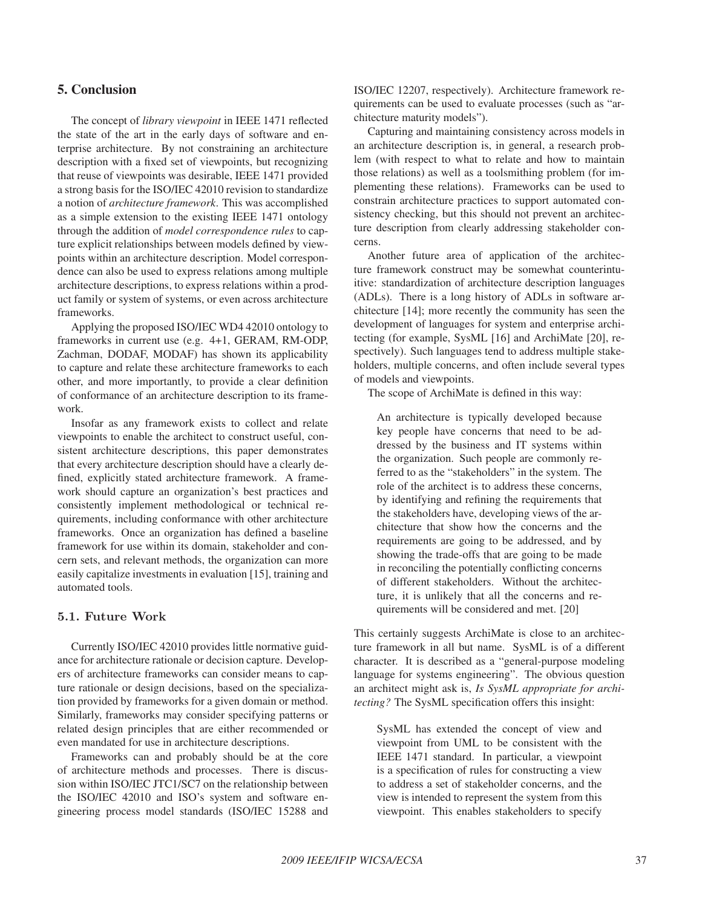# 5. Conclusion

The concept of *library viewpoint* in IEEE 1471 reflected the state of the art in the early days of software and enterprise architecture. By not constraining an architecture description with a fixed set of viewpoints, but recognizing that reuse of viewpoints was desirable, IEEE 1471 provided a strong basis for the ISO/IEC 42010 revision to standardize a notion of *architecture framework*. This was accomplished as a simple extension to the existing IEEE 1471 ontology through the addition of *model correspondence rules* to capture explicit relationships between models defined by viewpoints within an architecture description. Model correspondence can also be used to express relations among multiple architecture descriptions, to express relations within a product family or system of systems, or even across architecture frameworks.

Applying the proposed ISO/IEC WD4 42010 ontology to frameworks in current use (e.g. 4+1, GERAM, RM-ODP, Zachman, DODAF, MODAF) has shown its applicability to capture and relate these architecture frameworks to each other, and more importantly, to provide a clear definition of conformance of an architecture description to its framework.

Insofar as any framework exists to collect and relate viewpoints to enable the architect to construct useful, consistent architecture descriptions, this paper demonstrates that every architecture description should have a clearly defined, explicitly stated architecture framework. A framework should capture an organization's best practices and consistently implement methodological or technical requirements, including conformance with other architecture frameworks. Once an organization has defined a baseline framework for use within its domain, stakeholder and concern sets, and relevant methods, the organization can more easily capitalize investments in evaluation [15], training and automated tools.

## **5.1. Future Work**

Currently ISO/IEC 42010 provides little normative guidance for architecture rationale or decision capture. Developers of architecture frameworks can consider means to capture rationale or design decisions, based on the specialization provided by frameworks for a given domain or method. Similarly, frameworks may consider specifying patterns or related design principles that are either recommended or even mandated for use in architecture descriptions.

Frameworks can and probably should be at the core of architecture methods and processes. There is discussion within ISO/IEC JTC1/SC7 on the relationship between the ISO/IEC 42010 and ISO's system and software engineering process model standards (ISO/IEC 15288 and ISO/IEC 12207, respectively). Architecture framework requirements can be used to evaluate processes (such as "architecture maturity models").

Capturing and maintaining consistency across models in an architecture description is, in general, a research problem (with respect to what to relate and how to maintain those relations) as well as a toolsmithing problem (for implementing these relations). Frameworks can be used to constrain architecture practices to support automated consistency checking, but this should not prevent an architecture description from clearly addressing stakeholder concerns.

Another future area of application of the architecture framework construct may be somewhat counterintuitive: standardization of architecture description languages (ADLs). There is a long history of ADLs in software architecture [14]; more recently the community has seen the development of languages for system and enterprise architecting (for example, SysML [16] and ArchiMate [20], respectively). Such languages tend to address multiple stakeholders, multiple concerns, and often include several types of models and viewpoints.

The scope of ArchiMate is defined in this way:

An architecture is typically developed because key people have concerns that need to be addressed by the business and IT systems within the organization. Such people are commonly referred to as the "stakeholders" in the system. The role of the architect is to address these concerns, by identifying and refining the requirements that the stakeholders have, developing views of the architecture that show how the concerns and the requirements are going to be addressed, and by showing the trade-offs that are going to be made in reconciling the potentially conflicting concerns of different stakeholders. Without the architecture, it is unlikely that all the concerns and requirements will be considered and met. [20]

This certainly suggests ArchiMate is close to an architecture framework in all but name. SysML is of a different character. It is described as a "general-purpose modeling language for systems engineering". The obvious question an architect might ask is, *Is SysML appropriate for architecting?* The SysML specification offers this insight:

SysML has extended the concept of view and viewpoint from UML to be consistent with the IEEE 1471 standard. In particular, a viewpoint is a specification of rules for constructing a view to address a set of stakeholder concerns, and the view is intended to represent the system from this viewpoint. This enables stakeholders to specify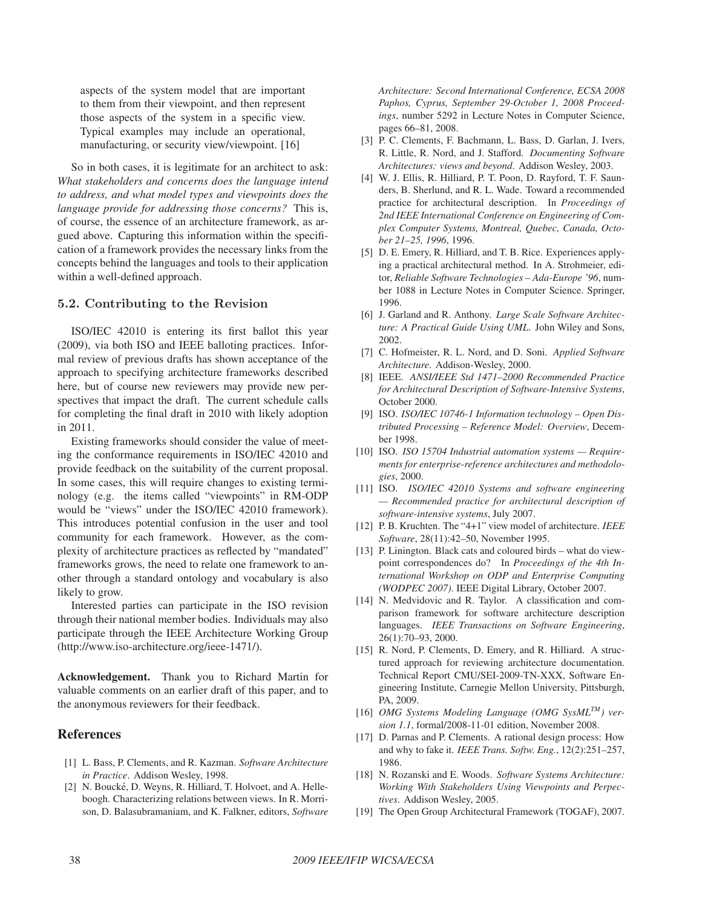aspects of the system model that are important to them from their viewpoint, and then represent those aspects of the system in a specific view. Typical examples may include an operational, manufacturing, or security view/viewpoint. [16]

So in both cases, it is legitimate for an architect to ask: *What stakeholders and concerns does the language intend to address, and what model types and viewpoints does the language provide for addressing those concerns?* This is, of course, the essence of an architecture framework, as argued above. Capturing this information within the specification of a framework provides the necessary links from the concepts behind the languages and tools to their application within a well-defined approach.

#### **5.2. Contributing to the Revision**

ISO/IEC 42010 is entering its first ballot this year (2009), via both ISO and IEEE balloting practices. Informal review of previous drafts has shown acceptance of the approach to specifying architecture frameworks described here, but of course new reviewers may provide new perspectives that impact the draft. The current schedule calls for completing the final draft in 2010 with likely adoption in 2011.

Existing frameworks should consider the value of meeting the conformance requirements in ISO/IEC 42010 and provide feedback on the suitability of the current proposal. In some cases, this will require changes to existing terminology (e.g. the items called "viewpoints" in RM-ODP would be "views" under the ISO/IEC 42010 framework). This introduces potential confusion in the user and tool community for each framework. However, as the complexity of architecture practices as reflected by "mandated" frameworks grows, the need to relate one framework to another through a standard ontology and vocabulary is also likely to grow.

Interested parties can participate in the ISO revision through their national member bodies. Individuals may also participate through the IEEE Architecture Working Group (http://www.iso-architecture.org/ieee-1471/).

Acknowledgement. Thank you to Richard Martin for valuable comments on an earlier draft of this paper, and to the anonymous reviewers for their feedback.

## References

- [1] L. Bass, P. Clements, and R. Kazman. *Software Architecture in Practice*. Addison Wesley, 1998.
- [2] N. Boucké, D. Weyns, R. Hilliard, T. Holvoet, and A. Helleboogh. Characterizing relations between views. In R. Morrison, D. Balasubramaniam, and K. Falkner, editors, *Software*

*Architecture: Second International Conference, ECSA 2008 Paphos, Cyprus, September 29-October 1, 2008 Proceedings*, number 5292 in Lecture Notes in Computer Science, pages 66–81, 2008.

- [3] P. C. Clements, F. Bachmann, L. Bass, D. Garlan, J. Ivers, R. Little, R. Nord, and J. Stafford. *Documenting Software Architectures: views and beyond*. Addison Wesley, 2003.
- [4] W. J. Ellis, R. Hilliard, P. T. Poon, D. Rayford, T. F. Saunders, B. Sherlund, and R. L. Wade. Toward a recommended practice for architectural description. In *Proceedings of 2nd IEEE International Conference on Engineering of Complex Computer Systems, Montreal, Quebec, Canada, October 21–25, 1996*, 1996.
- [5] D. E. Emery, R. Hilliard, and T. B. Rice. Experiences applying a practical architectural method. In A. Strohmeier, editor, *Reliable Software Technologies – Ada-Europe '96*, number 1088 in Lecture Notes in Computer Science. Springer, 1996.
- [6] J. Garland and R. Anthony. *Large Scale Software Architecture: A Practical Guide Using UML*. John Wiley and Sons, 2002.
- [7] C. Hofmeister, R. L. Nord, and D. Soni. *Applied Software Architecture*. Addison-Wesley, 2000.
- [8] IEEE. *ANSI/IEEE Std 1471–2000 Recommended Practice for Architectural Description of Software-Intensive Systems*, October 2000.
- [9] ISO. *ISO/IEC 10746-1 Information technology Open Distributed Processing – Reference Model: Overview*, December 1998.
- [10] ISO. *ISO 15704 Industrial automation systems Requirements for enterprise-reference architectures and methodologies*, 2000.
- [11] ISO. *ISO/IEC 42010 Systems and software engineering — Recommended practice for architectural description of software-intensive systems*, July 2007.
- [12] P. B. Kruchten. The "4+1" view model of architecture. *IEEE Software*, 28(11):42–50, November 1995.
- [13] P. Linington. Black cats and coloured birds what do viewpoint correspondences do? In *Proceedings of the 4th International Workshop on ODP and Enterprise Computing (WODPEC 2007)*. IEEE Digital Library, October 2007.
- [14] N. Medvidovic and R. Taylor. A classification and comparison framework for software architecture description languages. *IEEE Transactions on Software Engineering*, 26(1):70–93, 2000.
- [15] R. Nord, P. Clements, D. Emery, and R. Hilliard. A structured approach for reviewing architecture documentation. Technical Report CMU/SEI-2009-TN-XXX, Software Engineering Institute, Carnegie Mellon University, Pittsburgh, PA, 2009.
- [16] *OMG Systems Modeling Language (OMG SysMLTM) version 1.1*, formal/2008-11-01 edition, November 2008.
- [17] D. Parnas and P. Clements. A rational design process: How and why to fake it. *IEEE Trans. Softw. Eng.*, 12(2):251–257, 1986.
- [18] N. Rozanski and E. Woods. *Software Systems Architecture: Working With Stakeholders Using Viewpoints and Perpectives*. Addison Wesley, 2005.
- [19] The Open Group Architectural Framework (TOGAF), 2007.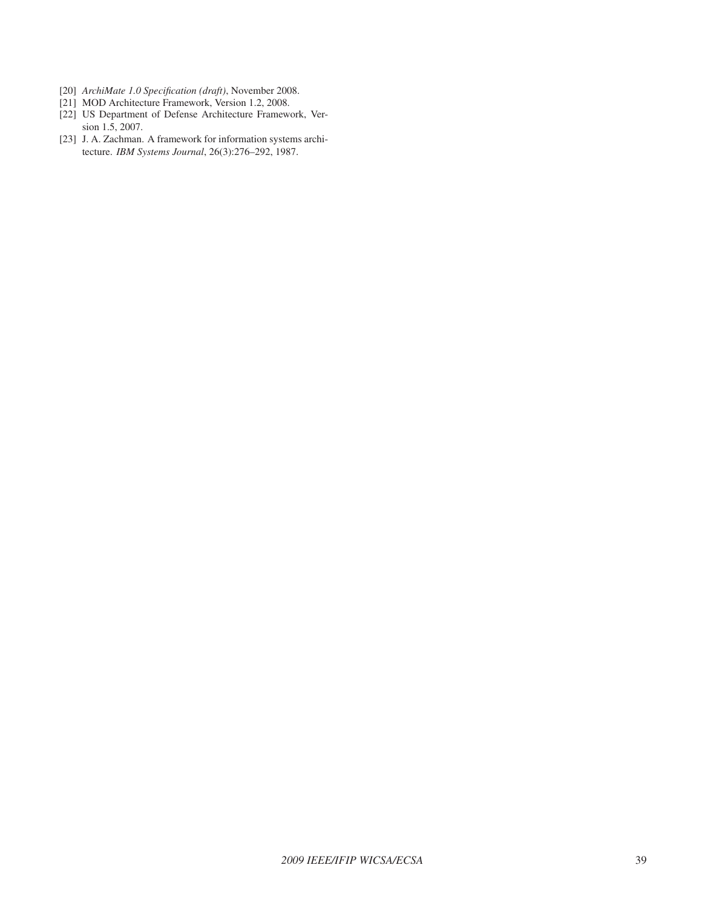- [20] *ArchiMate 1.0 Specification (draft)*, November 2008.
- [21] MOD Architecture Framework, Version 1.2, 2008.
- [22] US Department of Defense Architecture Framework, Version 1.5, 2007.
- [23] J. A. Zachman. A framework for information systems architecture. *IBM Systems Journal*, 26(3):276–292, 1987.